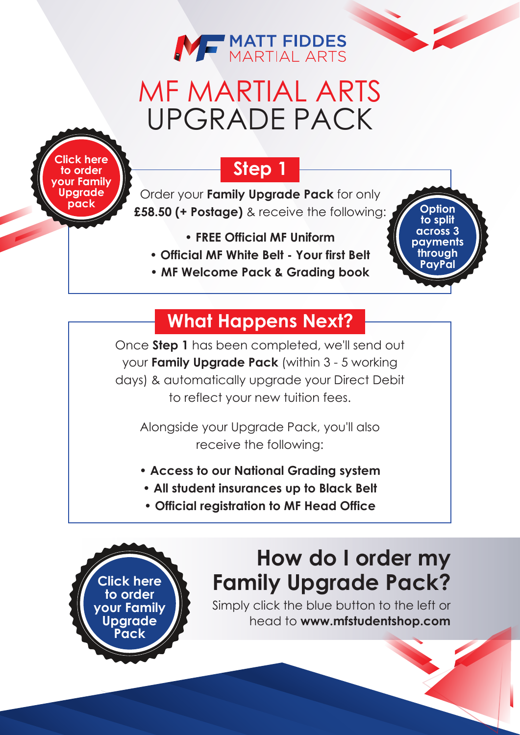

# MF MARTIAL ARTS UPGRADE PACK

**here to order [your Family](https://mfstudentshop.com/mf-martial-arts---family-upgrade-pack-31798-p.asp) Upgrade pack**

> **Click here to order [your Family](https://mfstudentshop.com/mf-martial-arts---family-upgrade-pack-31798-p.asp) Upgrade Pack**

### **Step 1**

Order your **Family Upgrade Pack** for only **£58.50 (+ Postage)** & receive the following:

**Option to split across 3 payments through PayPal**

- **FREE Official MF Uniform**
- **Official MF White Belt Your first Belt**
- **MF Welcome Pack & Grading book**

## **What Happens Next?**

Once **Step 1** has been completed, we'll send out your **Family Upgrade Pack** (within 3 - 5 working days) & automatically upgrade your Direct Debit to reflect your new tuition fees.

Alongside your Upgrade Pack, you'll also receive the following:

- **Access to our National Grading system**
- **All student insurances up to Black Belt**
- **Official registration to MF Head Office**



Simply click the blue button to the left or head to **www.[mfstudentshop.com](https://mfstudentshop.com/mf-martial-arts---family-upgrade-pack-31798-p.asp)**